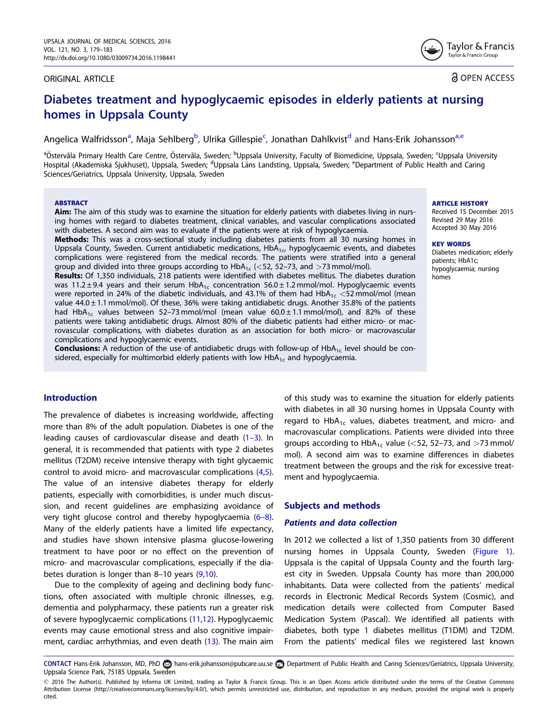#### <span id="page-0-0"></span>ORIGINAL ARTICLE

**a** OPEN ACCESS

Tavlor & Francis Taylor & Francis Group

# Diabetes treatment and hypoglycaemic episodes in elderly patients at nursing homes in Uppsala County

Angelica Walfridsson<sup>a</sup>, Maja Sehlberg<sup>b</sup>, Ulrika Gillespie<sup>c</sup>, Jonathan Dahlkvist<sup>d</sup> and Hans-Erik Johansson<sup>a,e</sup>

<sup>a</sup>Östervåla Primary Health Care Centre, Östervåla, Sweden; <sup>b</sup>Uppsala University, Faculty of Biomedicine, Uppsala, Sweden; <sup>c</sup>Uppsala University Hospital (Akademiska Sjukhuset), Uppsala, Sweden; <sup>d</sup>Uppsala Läns Landsting, Uppsala, Sweden; <sup>e</sup>Department of Public Health and Caring Sciences/Geriatrics, Uppsala University, Uppsala, Sweden

#### ABSTRACT

Aim: The aim of this study was to examine the situation for elderly patients with diabetes living in nursing homes with regard to diabetes treatment, clinical variables, and vascular complications associated with diabetes. A second aim was to evaluate if the patients were at risk of hypoglycaemia.

Methods: This was a cross-sectional study including diabetes patients from all 30 nursing homes in Uppsala County, Sweden. Current antidiabetic medications,  $HbA<sub>1c</sub>$ , hypoglycaemic events, and diabetes complications were registered from the medical records. The patients were stratified into a general group and divided into three groups according to  $HbA_{1c}$  (<52, 52–73, and >73 mmol/mol).

Results: Of 1,350 individuals, 218 patients were identified with diabetes mellitus. The diabetes duration was 11.2 ± 9.4 years and their serum HbA<sub>1c</sub> concentration  $56.0 \pm 1.2$  mmol/mol. Hypoglycaemic events were reported in 24% of the diabetic individuals, and 43.1% of them had  $HbA_{1c} < 52$  mmol/mol (mean value  $44.0 \pm 1.1$  mmol/mol). Of these, 36% were taking antidiabetic drugs. Another 35.8% of the patients had HbA<sub>1c</sub> values between 52–73 mmol/mol (mean value  $60.0 \pm 1.1$  mmol/mol), and 82% of these patients were taking antidiabetic drugs. Almost 80% of the diabetic patients had either micro- or macrovascular complications, with diabetes duration as an association for both micro- or macrovascular complications and hypoglycaemic events.

**Conclusions:** A reduction of the use of antidiabetic drugs with follow-up of HbA<sub>1c</sub> level should be considered, especially for multimorbid elderly patients with low  $HbA_{1c}$  and hypoglycaemia.

# Introduction

The prevalence of diabetes is increasing worldwide, affecting more than 8% of the adult population. Diabetes is one of the leading causes of cardiovascular disease and death [\(1–3](#page-4-0)). In general, it is recommended that patients with type 2 diabetes mellitus (T2DM) receive intensive therapy with tight glycaemic control to avoid micro- and macrovascular complications ([4,5](#page-4-0)). The value of an intensive diabetes therapy for elderly patients, especially with comorbidities, is under much discussion, and recent guidelines are emphasizing avoidance of very tight glucose control and thereby hypoglycaemia  $(6-8)$ . Many of the elderly patients have a limited life expectancy, and studies have shown intensive plasma glucose-lowering treatment to have poor or no effect on the prevention of micro- and macrovascular complications, especially if the diabetes duration is longer than 8–10 years ([9,10](#page-4-0)).

Due to the complexity of ageing and declining body functions, often associated with multiple chronic illnesses, e.g. dementia and polypharmacy, these patients run a greater risk of severe hypoglycaemic complications ([11,12\)](#page-4-0). Hypoglycaemic events may cause emotional stress and also cognitive impairment, cardiac arrhythmias, and even death [\(13\)](#page-4-0). The main aim ARTICLE HISTORY

Received 15 December 2015 Revised 29 May 2016 Accepted 30 May 2016

#### KEY WORDS

Diabetes medication; elderly patients; HbA1c; hypoglycaemia; nursing homes

of this study was to examine the situation for elderly patients with diabetes in all 30 nursing homes in Uppsala County with regard to  $HbA_{1c}$  values, diabetes treatment, and micro- and macrovascular complications. Patients were divided into three groups according to  $HbA_{1c}$  value (<52, 52–73, and >73 mmol/ mol). A second aim was to examine differences in diabetes treatment between the groups and the risk for excessive treatment and hypoglycaemia.

#### Subjects and methods

#### Patients and data collection

In 2012 we collected a list of 1,350 patients from 30 different nursing homes in Uppsala County, Sweden [\(Figure 1](#page-1-0)). Uppsala is the capital of Uppsala County and the fourth largest city in Sweden. Uppsala County has more than 200,000 inhabitants. Data were collected from the patients' medical records in Electronic Medical Records System (Cosmic), and medication details were collected from Computer Based Medication System (Pascal). We identified all patients with diabetes, both type 1 diabetes mellitus (T1DM) and T2DM. From the patients' medical files we registered last known

CONTACT Hans-Erik Johansson, MD, PhD hans-erik.johansson@pubcare.uu.se Department of Public Health and Caring Sciences/Geriatrics, Uppsala University, Uppsala Science Park, 75185 Uppsala, Sweden

 $\odot$  2016 The Author(s). Published by Informa UK Limited, trading as Taylor & Francis Group. This is an Open Access article distributed under the terms of the Creative Commons Attribution License ([http://creativecommons.org/licenses/by/4.0/\)](http://creativecommons.org/licenses/by/4.0/), which permits unrestricted use, distribution, and reproduction in any medium, provided the original work is properly cited.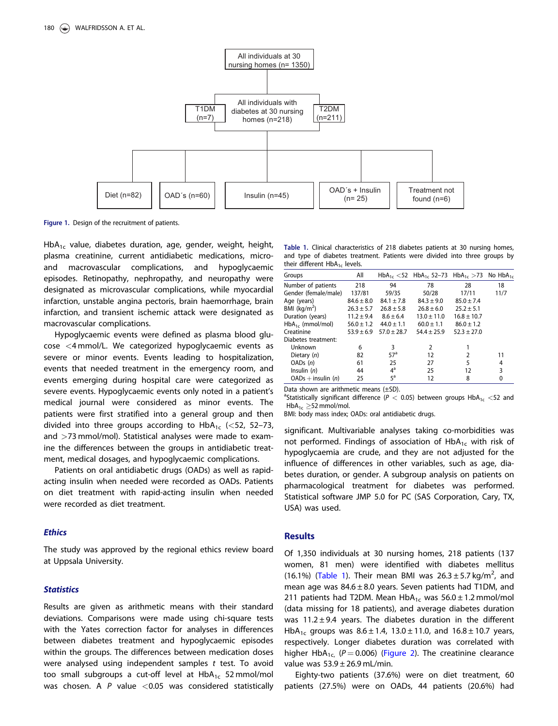<span id="page-1-0"></span>

Figure 1. Design of the recruitment of patients.

HbA<sub>1c</sub> value, diabetes duration, age, gender, weight, height, plasma creatinine, current antidiabetic medications, microand macrovascular complications, and hypoglycaemic episodes. Retinopathy, nephropathy, and neuropathy were designated as microvascular complications, while myocardial infarction, unstable angina pectoris, brain haemorrhage, brain infarction, and transient ischemic attack were designated as macrovascular complications.

Hypoglycaemic events were defined as plasma blood glucose <4 mmol/L. We categorized hypoglycaemic events as severe or minor events. Events leading to hospitalization, events that needed treatment in the emergency room, and events emerging during hospital care were categorized as severe events. Hypoglycaemic events only noted in a patient's medical journal were considered as minor events. The patients were first stratified into a general group and then divided into three groups according to  $HbA_{1c}$  (<52, 52–73, and >73 mmol/mol). Statistical analyses were made to examine the differences between the groups in antidiabetic treatment, medical dosages, and hypoglycaemic complications.

Patients on oral antidiabetic drugs (OADs) as well as rapidacting insulin when needed were recorded as OADs. Patients on diet treatment with rapid-acting insulin when needed were recorded as diet treatment.

### **Ethics**

The study was approved by the regional ethics review board at Uppsala University.

#### **Statistics**

Results are given as arithmetic means with their standard deviations. Comparisons were made using chi-square tests with the Yates correction factor for analyses in differences between diabetes treatment and hypoglycaemic episodes within the groups. The differences between medication doses were analysed using independent samples  $t$  test. To avoid too small subgroups a cut-off level at  $HbA_{1c}$  52 mmol/mol was chosen. A  $P$  value  $\langle 0.05$  was considered statistically

Table 1. Clinical characteristics of 218 diabetes patients at 30 nursing homes, and type of diabetes treatment. Patients were divided into three groups by their different  $HbA_{1c}$  levels.

| Groups                  | All            |                 | $HbA_{1c}$ <52 $HbA_{1c}$ 52-73 $HbA_{1c}$ >73 No $HbA_{1c}$ |                 |      |
|-------------------------|----------------|-----------------|--------------------------------------------------------------|-----------------|------|
| Number of patients      | 218            | 94              | 78                                                           | 28              | 18   |
| Gender (female/male)    | 137/81         | 59/35           | 50/28                                                        | 17/11           | 11/7 |
| Age (years)             | $84.6 \pm 8.0$ | $84.1 \pm 7.8$  | $84.3 \pm 9.0$                                               | $85.0 \pm 7.4$  |      |
| BMI ( $\text{kg/m}^2$ ) | $26.3 \pm 5.7$ | $26.8 \pm 5.8$  | $26.8 \pm 6.0$                                               | $25.2 \pm 5.1$  |      |
| Duration (years)        | $11.2 + 9.4$   | $8.6 \pm 6.4$   | $13.0 \pm 11.0$                                              | $16.8 \pm 10.7$ |      |
| $HbA_{1c}$ (mmol/mol)   | $56.0 \pm 1.2$ | $44.0 \pm 1.1$  | $60.0 \pm 1.1$                                               | $86.0 \pm 1.2$  |      |
| Creatinine              | $53.9 + 6.9$   | $57.0 \pm 28.7$ | $54.4 \pm 25.9$                                              | $52.3 + 27.0$   |      |
| Diabetes treatment:     |                |                 |                                                              |                 |      |
| Unknown                 | 6              | 3               | $\overline{2}$                                               |                 |      |
| Dietary $(n)$           | 82             | 57 <sup>a</sup> | 12                                                           | $\overline{2}$  | 11   |
| OADs(n)                 | 61             | 25              | 27                                                           | 5               | 4    |
| Insulin $(n)$           | 44             | $4^a$           | 25                                                           | 12              | 3    |
| $OADs$ + insulin $(n)$  | 25             | $5^{\text{a}}$  | 12                                                           | 8               | 0    |
|                         |                |                 |                                                              |                 |      |

Data shown are arithmetic means (±SD).

<sup>a</sup>Statistically significant difference ( $P < 0.05$ ) between groups  $HbA_{1c} < 52$  and  $HbA_{1c} \geq 52$  mmol/mol.

BMI: body mass index; OADs: oral antidiabetic drugs.

significant. Multivariable analyses taking co-morbidities was not performed. Findings of association of  $HbA_{1c}$  with risk of hypoglycaemia are crude, and they are not adjusted for the influence of differences in other variables, such as age, diabetes duration, or gender. A subgroup analysis on patients on pharmacological treatment for diabetes was performed. Statistical software JMP 5.0 for PC (SAS Corporation, Cary, TX, USA) was used.

#### Results

Of 1,350 individuals at 30 nursing homes, 218 patients (137 women, 81 men) were identified with diabetes mellitus (16.1%) (Table 1). Their mean BMI was  $26.3 \pm 5.7$  kg/m<sup>2</sup>, and mean age was  $84.6 \pm 8.0$  years. Seven patients had T1DM, and 211 patients had T2DM. Mean  $HbA_{1c}$  was  $56.0 \pm 1.2$  mmol/mol (data missing for 18 patients), and average diabetes duration was  $11.2 \pm 9.4$  years. The diabetes duration in the different HbA<sub>1c</sub> groups was  $8.6 \pm 1.4$ ,  $13.0 \pm 11.0$ , and  $16.8 \pm 10.7$  years, respectively. Longer diabetes duration was correlated with higher HbA<sub>1c,</sub> (P = 0.006) [\(Figure 2\)](#page-2-0). The creatinine clearance value was  $53.9 \pm 26.9$  mL/min.

Eighty-two patients (37.6%) were on diet treatment, 60 patients (27.5%) were on OADs, 44 patients (20.6%) had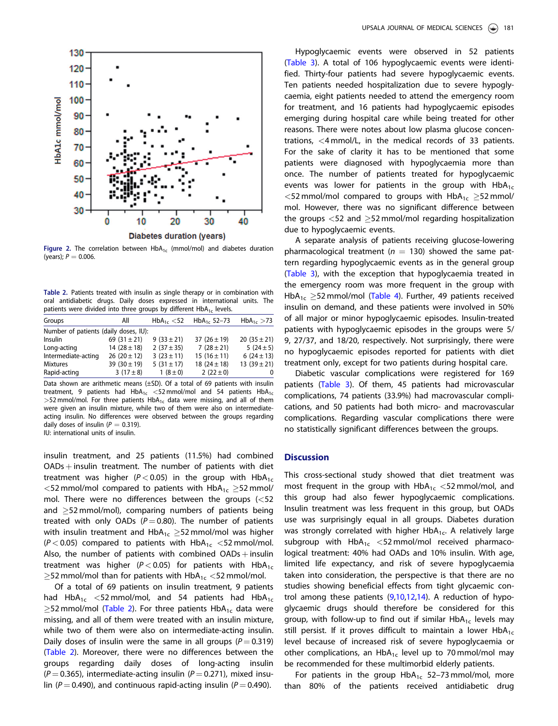<span id="page-2-0"></span>

Figure 2. The correlation between  $HbA_{1c}$  (mmol/mol) and diabetes duration (years);  $P = 0.006$ .

Table 2. Patients treated with insulin as single therapy or in combination with oral antidiabetic drugs. Daily doses expressed in international units. The patients were divided into three groups by different  $HbA_{1c}$  levels.

| Groups                                | All              | $HbA_{1c} < 52$ | $HbA_{1c}$ 52-73 | $HbA_{1c} > 73$  |  |  |  |  |  |
|---------------------------------------|------------------|-----------------|------------------|------------------|--|--|--|--|--|
| Number of patients (daily doses, IU): |                  |                 |                  |                  |  |  |  |  |  |
| <b>Insulin</b>                        | 69 $(31 \pm 21)$ | $9(33 \pm 21)$  | 37 $(26 \pm 19)$ | 20 $(35 \pm 21)$ |  |  |  |  |  |
| Long-acting                           | 14 $(28 \pm 18)$ | 2 $(37 \pm 35)$ | $7(28 \pm 21)$   | 5 $(24 \pm 5)$   |  |  |  |  |  |
| Intermediate-acting                   | $26(20 \pm 12)$  | $3(23 \pm 11)$  | $15(16 \pm 11)$  | 6 $(24 \pm 13)$  |  |  |  |  |  |
| <b>Mixtures</b>                       | 39 $(30 \pm 19)$ | 5 $(31 \pm 17)$ | 18 $(24 \pm 18)$ | 13 $(39 \pm 21)$ |  |  |  |  |  |
| Rapid-acting                          | 3 $(17 \pm 8)$   | $1(8 \pm 0)$    | 2 $(22 \pm 0)$   | 0                |  |  |  |  |  |

Data shown are arithmetic means (±SD). Of a total of 69 patients with insulin treatment, 9 patients had  $HbA_{1c} < 52$  mmol/mol and 54 patients  $HbA_{1c}$  $>52$  mmol/mol. For three patients  $HbA_{1c}$  data were missing, and all of them were given an insulin mixture, while two of them were also on intermediateacting insulin. No differences were observed between the groups regarding daily doses of insulin ( $P = 0.319$ ).

IU: international units of insulin.

insulin treatment, and 25 patients (11.5%) had combined  $OADs +$  insulin treatment. The number of patients with diet treatment was higher ( $P < 0.05$ ) in the group with HbA<sub>1c</sub>  $<$ 52 mmol/mol compared to patients with HbA<sub>1c</sub>  $\geq$ 52 mmol/ mol. There were no differences between the groups (<52 and  $\geq$ 52 mmol/mol), comparing numbers of patients being treated with only OADs ( $P = 0.80$ ). The number of patients with insulin treatment and  $H\!bA_{1c} \geq$ 52 mmol/mol was higher  $(P < 0.05)$  compared to patients with HbA<sub>1c</sub> <52 mmol/mol. Also, the number of patients with combined  $OADs +$  insulin treatment was higher ( $P < 0.05$ ) for patients with HbA<sub>1c</sub>  $\geq$ 52 mmol/mol than for patients with HbA $_{1\text{c}}$   $<$ 52 mmol/mol.

Of a total of 69 patients on insulin treatment, 9 patients had HbA<sub>1c</sub> <52 mmol/mol, and 54 patients had HbA<sub>1c</sub>  $\geq$ 52 mmol/mol (Table 2). For three patients  $\sf HbA_{1c}$  data were missing, and all of them were treated with an insulin mixture, while two of them were also on intermediate-acting insulin. Daily doses of insulin were the same in all groups ( $P = 0.319$ ) (Table 2). Moreover, there were no differences between the groups regarding daily doses of long-acting insulin  $(P = 0.365)$ , intermediate-acting insulin  $(P = 0.271)$ , mixed insulin ( $P = 0.490$ ), and continuous rapid-acting insulin ( $P = 0.490$ ).

Hypoglycaemic events were observed in 52 patients [\(Table 3](#page-3-0)). A total of 106 hypoglycaemic events were identified. Thirty-four patients had severe hypoglycaemic events. Ten patients needed hospitalization due to severe hypoglycaemia, eight patients needed to attend the emergency room for treatment, and 16 patients had hypoglycaemic episodes emerging during hospital care while being treated for other reasons. There were notes about low plasma glucose concentrations, <4 mmol/L, in the medical records of 33 patients. For the sake of clarity it has to be mentioned that some patients were diagnosed with hypoglycaemia more than once. The number of patients treated for hypoglycaemic events was lower for patients in the group with  $HbA_{1c}$  $<$ 52 mmol/mol compared to groups with HbA<sub>1c</sub>  $\geq$ 52 mmol/ mol. However, there was no significant difference between the groups  $<$  52 and  $\geq$  52 mmol/mol regarding hospitalization due to hypoglycaemic events.

A separate analysis of patients receiving glucose-lowering pharmacological treatment ( $n = 130$ ) showed the same pattern regarding hypoglycaemic events as in the general group [\(Table 3](#page-3-0)), with the exception that hypoglycaemia treated in the emergency room was more frequent in the group with  $HbA_{1c} \geq 52$  mmol/mol [\(Table 4](#page-3-0)). Further, 49 patients received insulin on demand, and these patients were involved in 50% of all major or minor hypoglycaemic episodes. Insulin-treated patients with hypoglycaemic episodes in the groups were 5/ 9, 27/37, and 18/20, respectively. Not surprisingly, there were no hypoglycaemic episodes reported for patients with diet treatment only, except for two patients during hospital care.

Diabetic vascular complications were registered for 169 patients ([Table 3](#page-3-0)). Of them, 45 patients had microvascular complications, 74 patients (33.9%) had macrovascular complications, and 50 patients had both micro- and macrovascular complications. Regarding vascular complications there were no statistically significant differences between the groups.

# **Discussion**

This cross-sectional study showed that diet treatment was most frequent in the group with  $HbA_{1c} < 52$  mmol/mol, and this group had also fewer hypoglycaemic complications. Insulin treatment was less frequent in this group, but OADs use was surprisingly equal in all groups. Diabetes duration was strongly correlated with higher HbA<sub>1c</sub>. A relatively large subgroup with  $HbA_{1c} < 52$  mmol/mol received pharmacological treatment: 40% had OADs and 10% insulin. With age, limited life expectancy, and risk of severe hypoglycaemia taken into consideration, the perspective is that there are no studies showing beneficial effects from tight glycaemic control among these patients  $(9,10,12,14)$  $(9,10,12,14)$ . A reduction of hypoglycaemic drugs should therefore be considered for this group, with follow-up to find out if similar HbA $_{1c}$  levels may still persist. If it proves difficult to maintain a lower  $HbA_{1c}$ level because of increased risk of severe hypoglycaemia or other complications, an HbA<sub>1c</sub> level up to 70 mmol/mol may be recommended for these multimorbid elderly patients.

For patients in the group  $HbA_{1c}$  52-73 mmol/mol, more than 80% of the patients received antidiabetic drug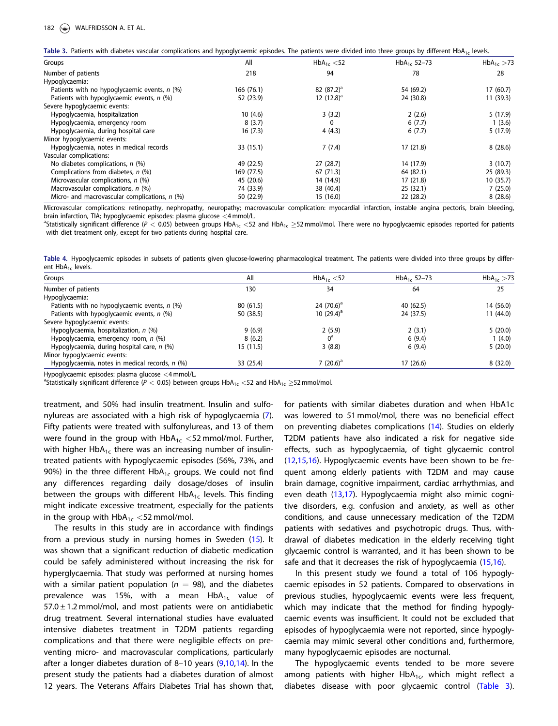<span id="page-3-0"></span>

|  |  |  | Table 3. Patients with diabetes vascular complications and hypoglycaemic episodes. The patients were divided into three groups by different HbA <sub>1c</sub> levels. |  |  |  |  |  |  |  |
|--|--|--|-----------------------------------------------------------------------------------------------------------------------------------------------------------------------|--|--|--|--|--|--|--|
|--|--|--|-----------------------------------------------------------------------------------------------------------------------------------------------------------------------|--|--|--|--|--|--|--|

| Groups                                          | All        | $HbA_{1c} < 52$ | HbA <sub>1c</sub> 52-73 | $HbA_{1c} > 73$ |
|-------------------------------------------------|------------|-----------------|-------------------------|-----------------|
| Number of patients                              | 218        | 94              | 78                      | 28              |
| Hypoglycaemia:                                  |            |                 |                         |                 |
| Patients with no hypoglycaemic events, $n$ (%)  | 166 (76.1) | 82 $(87.2)^a$   | 54 (69.2)               | 17(60.7)        |
| Patients with hypoglycaemic events, n (%)       | 52 (23.9)  | 12 $(12.8)^a$   | 24 (30.8)               | 11(39.3)        |
| Severe hypoglycaemic events:                    |            |                 |                         |                 |
| Hypoglycaemia, hospitalization                  | 10(4.6)    | 3(3.2)          | 2(2.6)                  | 5(17.9)         |
| Hypoglycaemia, emergency room                   | 8(3.7)     | $\mathbf{0}$    | 6(7.7)                  | 1(3.6)          |
| Hypoglycaemia, during hospital care             | 16(7.3)    | 4(4.3)          | 6(7.7)                  | 5(17.9)         |
| Minor hypoglycaemic events:                     |            |                 |                         |                 |
| Hypoglycaemia, notes in medical records         | 33 (15.1)  | 7(7.4)          | 17(21.8)                | 8(28.6)         |
| Vascular complications:                         |            |                 |                         |                 |
| No diabetes complications, $n$ (%)              | 49 (22.5)  | 27(28.7)        | 14 (17.9)               | 3(10.7)         |
| Complications from diabetes, n (%)              | 169 (77.5) | 67 (71.3)       | 64 (82.1)               | 25 (89.3)       |
| Microvascular complications, n (%)              | 45 (20.6)  | 14 (14.9)       | 17 (21.8)               | 10(35.7)        |
| Macrovascular complications, n (%)              | 74 (33.9)  | 38 (40.4)       | 25(32.1)                | 7(25.0)         |
| Micro- and macrovascular complications, $n$ (%) | 50 (22.9)  | 15 (16.0)       | 22 (28.2)               | 8(28.6)         |

Microvascular complications: retinopathy, nephropathy, neuropathy; macrovascular complication: myocardial infarction, instable angina pectoris, brain bleeding, brain infarction, TIA; hypoglycaemic episodes: plasma glucose  $\langle 4 \text{ mmol/L}}$ .

Statistically significant difference (P  $<$  0.05) between groups HbA<sub>1c</sub>  $<$ 52 and HbA<sub>1c</sub>  $\geq$ 52 mmol/mol. There were no hypoglycaemic episodes reported for patients with diet treatment only, except for two patients during hospital care.

Table 4. Hypoglycaemic episodes in subsets of patients given glucose-lowering pharmacological treatment. The patients were divided into three groups by different HbA<sub>1c</sub> levels.

| All       | $HbA_{1c} < 52$ | HbA <sub>1c</sub> 52-73 | $HbA_{1c} > 73$ |
|-----------|-----------------|-------------------------|-----------------|
| 130       | 34              | 64                      | 25              |
|           |                 |                         |                 |
| 80 (61.5) | 24 $(70.6)^a$   | 40 (62.5)               | 14 (56.0)       |
| 50 (38.5) | 10 $(29.4)^a$   | 24 (37.5)               | 11(44.0)        |
|           |                 |                         |                 |
| 9(6.9)    | 2(5.9)          | 2(3.1)                  | 5(20.0)         |
| 8(6.2)    | $0^{\rm a}$     | 6(9.4)                  | 1(4.0)          |
| 15 (11.5) | 3(8.8)          | 6(9.4)                  | 5(20.0)         |
|           |                 |                         |                 |
| 33 (25.4) | 7 $(20.6)^a$    | 17(26.6)                | 8(32.0)         |
|           |                 |                         |                 |

Hypoglycaemic episodes: plasma glucose  $<$ 4 mmol/L.

Statistically significant difference (P  $<$  0.05) between groups HbA $_{1\rm c}$   $<$  52 and HbA $_{1\rm c}$   $\geq$ 52 mmol/mol.

treatment, and 50% had insulin treatment. Insulin and sulfonylureas are associated with a high risk of hypoglycaemia [\(7](#page-4-0)). Fifty patients were treated with sulfonylureas, and 13 of them were found in the group with  $HbA_{1c} < 52$  mmol/mol. Further, with higher HbA<sub>1c</sub> there was an increasing number of insulintreated patients with hypoglycaemic episodes (56%, 73%, and 90%) in the three different  $HbA_{1c}$  groups. We could not find any differences regarding daily dosage/doses of insulin between the groups with different  $HbA_{1c}$  levels. This finding might indicate excessive treatment, especially for the patients in the group with  $HbA_{1c} < 52$  mmol/mol.

The results in this study are in accordance with findings from a previous study in nursing homes in Sweden ([15](#page-4-0)). It was shown that a significant reduction of diabetic medication could be safely administered without increasing the risk for hyperglycaemia. That study was performed at nursing homes with a similar patient population ( $n = 98$ ), and the diabetes prevalence was 15%, with a mean  $HbA_{1c}$  value of  $57.0 \pm 1.2$  mmol/mol, and most patients were on antidiabetic drug treatment. Several international studies have evaluated intensive diabetes treatment in T2DM patients regarding complications and that there were negligible effects on preventing micro- and macrovascular complications, particularly after a longer diabetes duration of 8–10 years [\(9,10,14](#page-4-0)). In the present study the patients had a diabetes duration of almost 12 years. The Veterans Affairs Diabetes Trial has shown that, for patients with similar diabetes duration and when HbA1c was lowered to 51 mmol/mol, there was no beneficial effect on preventing diabetes complications [\(14](#page-4-0)). Studies on elderly T2DM patients have also indicated a risk for negative side effects, such as hypoglycaemia, of tight glycaemic control [\(12](#page-4-0),[15,16](#page-4-0)). Hypoglycaemic events have been shown to be frequent among elderly patients with T2DM and may cause brain damage, cognitive impairment, cardiac arrhythmias, and even death [\(13](#page-4-0),[17\)](#page-4-0). Hypoglycaemia might also mimic cognitive disorders, e.g. confusion and anxiety, as well as other conditions, and cause unnecessary medication of the T2DM patients with sedatives and psychotropic drugs. Thus, withdrawal of diabetes medication in the elderly receiving tight glycaemic control is warranted, and it has been shown to be safe and that it decreases the risk of hypoglycaemia ([15,16\)](#page-4-0).

In this present study we found a total of 106 hypoglycaemic episodes in 52 patients. Compared to observations in previous studies, hypoglycaemic events were less frequent, which may indicate that the method for finding hypoglycaemic events was insufficient. It could not be excluded that episodes of hypoglycaemia were not reported, since hypoglycaemia may mimic several other conditions and, furthermore, many hypoglycaemic episodes are nocturnal.

The hypoglycaemic events tended to be more severe among patients with higher  $HbA_{1c}$ , which might reflect a diabetes disease with poor glycaemic control (Table 3).